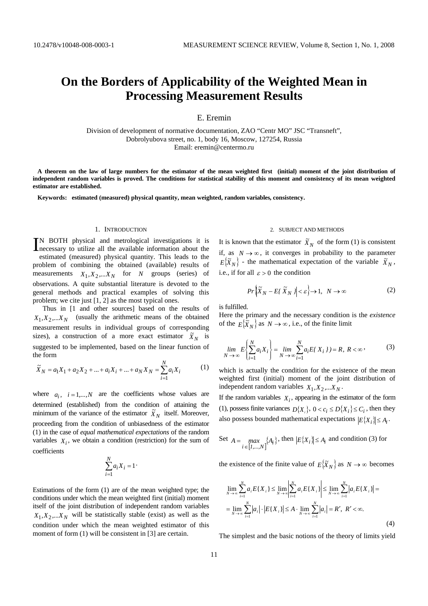# **On the Borders of Applicability of the Weighted Mean in Processing Measurement Results**

# E. Eremin

Division of development of normative documentation, ZAO "Centr MO" JSC "Transneft", Dobrolyubova street, no. 1, body 16, Moscow, 127254, Russia Email: eremin@centermo.ru

 **A theorem on the law of large numbers for the estimator of the mean weighted first (initial) moment of the joint distribution of independent random variables is proved. The conditions for statistical stability of this moment and consistency of its mean weighted estimator are established.** 

 **Keywords: estimated (measured) physical quantity, mean weighted, random variables, consistency.** 

#### 1. INTRODUCTION

N BOTH physical and metrological investigations it is IN BOTH physical and metrological investigations it is necessary to utilize all the available information about the estimated (measured) physical quantity. This leads to the problem of combining the obtained (available) results of measurements  $X_1, X_2, \ldots, X_N$  for *N* groups (series) of observations. A quite substantial literature is devoted to the general methods and practical examples of solving this problem; we cite just [1, 2] as the most typical ones.

Thus in [1 and other sources] based on the results of  $X_1, X_2, \ldots, X_N$  (usually the arithmetic means of the obtained measurement results in individual groups of corresponding sizes), a construction of a more exact estimator  $\tilde{X}_N$  is suggested to be implemented, based on the linear function of the form

$$
\tilde{X}_N = a_1 X_1 + a_2 X_2 + \dots + a_i X_i + \dots + a_N X_N = \sum_{i=1}^N a_i X_i
$$
 (1)

where  $a_i$ ,  $i = 1,...,N$  are the coefficients whose values are determined (established) from the condition of attaining the minimum of the variance of the estimator  $\tilde{X}_N$  itself. Moreover, proceeding from the condition of unbiasedness of the estimator (1) in the case of *equal mathematical expectations* of the random variables  $X_i$ , we obtain a condition (restriction) for the sum of coefficients

$$
\sum_{i=1}^N a_i X_i = 1
$$

Estimations of the form (1) are of the mean weighted type; the conditions under which the mean weighted first (initial) moment itself of the joint distribution of independent random variables  $X_1, X_2, \ldots, X_N$  will be statistically stable (exist) as well as the condition under which the mean weighted estimator of this moment of form (1) will be consistent in [3] are certain.

#### 2. SUBJECT AND METHODS

It is known that the estimator  $\tilde{X}_N$  of the form (1) is consistent if, as  $N \rightarrow \infty$ , it converges in probability to the parameter  $E{\{\tilde{X}_N\}}$  - the mathematical expectation of the variable  $\tilde{X}_N$ , i.e., if for all  $\varepsilon > 0$  the condition

$$
Pr\left\{\widetilde{X}_N - E\left\{\widetilde{X}_N\middle| \le \varepsilon\right\} \to 1, \ N \to \infty\right\} \tag{2}
$$

is fulfilled.

Here the primary and the necessary condition is the *existence*  of the  $E\{\tilde{X}_N\}$  as  $N \to \infty$ , i.e., of the finite limit

$$
\lim_{N \to \infty} E\left\{ \sum_{i=1}^{N} a_i X_i \right\} = \lim_{N \to \infty} \sum_{i=1}^{N} a_i E\{X_i\} = R, \ R < \infty \tag{3}
$$

which is actually the condition for the existence of the mean weighted first (initial) moment of the joint distribution of independent random variables  $X_1, X_2, \ldots, X_N$ .

If the random variables  $X_i$ , appearing in the estimator of the form (1), possess finite variances  $D\{X_i\}$ ,  $0 < c_i \le D\{X_i\} \le C_i$ , then they also possess bounded mathematical expectations  $|E{X_i}| \leq A_i$ .

Set 
$$
A = \max_{i \in [I, ..., N]} \{A_i\}
$$
, then  $|E\{X_i\}| \le A_i$  and condition (3) for

the existence of the finite value of  $E{X_N}$  as  $N \to \infty$  becomes

$$
\lim_{N \to \infty} \sum_{i=1}^{N} a_i E\{X_i\} \le \lim_{N \to \infty} \left| \sum_{i=1}^{N} a_i E\{X_i\} \right| \le \lim_{N \to \infty} \sum_{i=1}^{N} |a_i E\{X_i\}| =
$$
\n
$$
= \lim_{N \to \infty} \sum_{i=1}^{N} |a_i| \cdot |E\{X_i\}| \le A \cdot \lim_{N \to \infty} \sum_{i=1}^{N} |a_i| = R', \ R' < \infty.
$$
\n(4)

The simplest and the basic notions of the theory of limits yield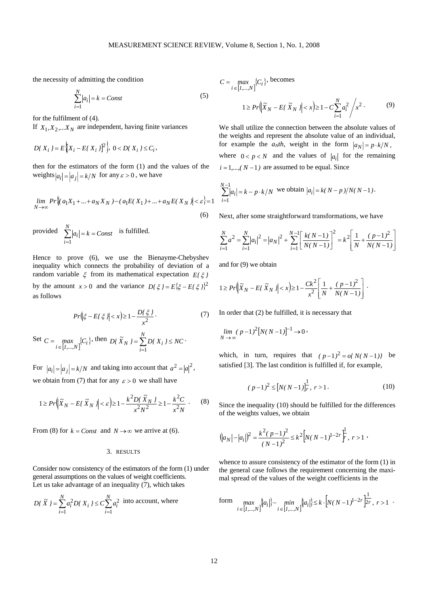the necessity of admitting the condition

$$
\sum_{i=1}^{N} |a_i| = k = Const
$$
\n(5)

for the fulfilment of (4).

If  $X_1, X_2, \ldots, X_N$  are independent, having finite variances

$$
D\{X_i\} = E\Big[X_i - E\{X_i\}\Big]^2\Big\},\ 0 < D\{X_i\} \leq C_i,
$$

then for the estimators of the form (1) and the values of the weights  $|a_i| = |a_j| = k/N$  for any  $\varepsilon > 0$ , we have

$$
\lim_{N \to \infty} Pr \left\{ (a_1 X_1 + \dots + a_N X_N) - (a_1 E(X_1) + \dots + a_N E(X_N) \right\} < \varepsilon \right\} = 1
$$
\n(6)

provided  $\sum_{i=1}^{N} |a_i| = k = Const$ *i*  $\sum |a_i| = k =$  $=1$ is fulfilled.

Hence to prove (6), we use the Bienayme-Chebyshev inequality which connects the probability of deviation of a random variable ξ from its mathematical expectation *E{*ξ *}* by the amount  $x > 0$  and the variance  $D\{\xi\} = E\{\xi - E\{\xi\}\}^2$ as follows

$$
Pr(|\xi - E\{\xi\}| < x) \ge 1 - \frac{D\{\xi\}}{x^2} \tag{7}
$$

Set 
$$
C = \max_{i \in [1,...,N]} \{C_i\}
$$
, then  $D\{\tilde{X}_N\} = \sum_{i=1}^N D\{X_i\} \le NC$ .

For  $|a_i| = |a_i| = k/N$  and taking into account that  $a^2 = |a|^2$ , we obtain from (7) that for any  $\varepsilon > 0$  we shall have

$$
1 \ge Pr\left(\tilde{X}_N - E\left\{\tilde{X}_N\right\} \Big| < \varepsilon\right) \ge 1 - \frac{k^2 D\left\{\tilde{X}_N\right\}}{x^2 N^2} \ge 1 - \frac{k^2 C}{x^2 N} \tag{8}
$$

From (8) for  $k = Const$  and  $N \rightarrow \infty$  we arrive at (6).

## 3. RESULTS

Consider now consistency of the estimators of the form (1) under general assumptions on the values of weight coefficients. Let us take advantage of an inequality (7), which takes

$$
D\{ \tilde{X} \} = \sum_{i=1}^{N} a_i^2 D\{ X_i \} \le C \sum_{i=1}^{N} a_i^2
$$
 into account, where

$$
C = \max_{i \in [I, \dots, N]} \{C_i\} \text{ becomes}
$$
  

$$
1 \ge Pr \left( \tilde{X}_N - E\{ \tilde{X}_N \} \right) < x \ge 1 - C \sum_{i=1}^N a_i^2 / x^2.
$$
 (9)

We shall utilize the connection between the absolute values of the weights and represent the absolute value of an individual, for example the  $a_N$ th, weight in the form  $|a_N| = p \cdot k/N$ , where  $0 < p < N$  and the values of  $|a_i|$  for the remaining  $i = 1, \ldots, (N-1)$  are assumed to be equal. Since

$$
\sum_{i=1}^{N-1} |a_i| = k - p \cdot k / N
$$
 we obtain  $|a_i| = k(N - p) / N(N - 1)$ .

Next, after some straightforward transformations, we have

$$
\sum_{i=1}^{N} a^{2} = \sum_{i=1}^{N} |a_{i}|^{2} = |a_{N}|^{2} + \sum_{i=1}^{N-1} \left[ \frac{k(N-1)}{N(N-1)} \right]^{2} = k^{2} \left[ \frac{1}{N} + \frac{(p-1)^{2}}{N(N-1)} \right]
$$

and for (9) we obtain

$$
1 \ge Pr\left(\left|\widetilde{X}_N - E\left\{\widetilde{X}_N\right\}\right| < x\right) \ge 1 - \frac{Ck^2}{x^2} \left[\frac{1}{N} + \frac{(p-1)^2}{N(N-1)}\right].
$$

In order that (2) be fulfilled, it is necessary that

$$
\lim_{N \to \infty} (p-1)^2 [N(N-1)]^{-1} \to 0
$$

which, in turn, requires that  $(p-1)^2 = o(N(N-1))$  be satisfied [3]. The last condition is fulfilled if, for example,

$$
(p-1)^2 \le [N(N-1)]_r^{\frac{1}{r}}, r > 1.
$$
 (10)

Since the inequality (10) should be fulfilled for the differences of the weights values, we obtain

$$
(|a_N| - |a_i|)^2 = \frac{k^2 (p-1)^2}{(N-1)^2} \le k^2 \left[ N(N-1)^{1-2r} \right]^{\frac{1}{r}}, \quad r > 1
$$

whence to assure consistency of the estimator of the form (1) in the general case follows the requirement concerning the maximal spread of the values of the weight coefficients in the

form 
$$
\max_{i \in [1,...,N]} \{|a_i|\} - \min_{i \in [1,...,N]} \{|a_i|\} \le k \cdot \left[ N(N-1)^{1-2r} \frac{1}{2^r}, r > 1 \right].
$$